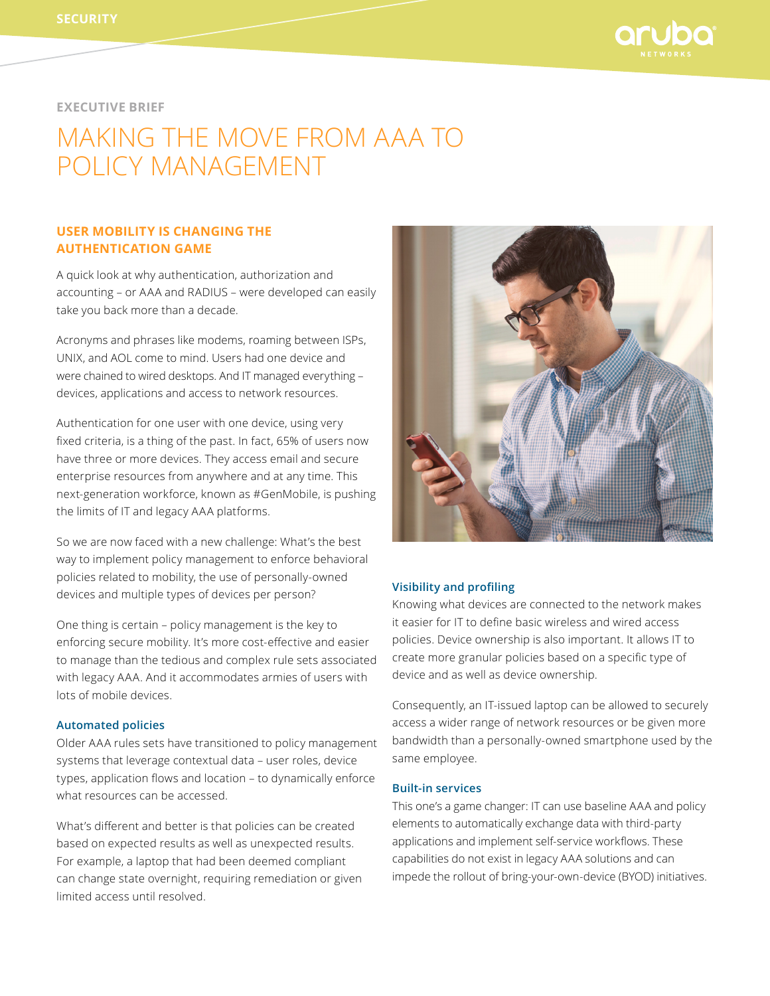

# **EXECUTIVE BRIEF**

# Making the move from AAA to policy management

# **USER MOBILITY IS CHANGING THE AUTHENTICATION GAME**

A quick look at why authentication, authorization and accounting – or AAA and RADIUS – were developed can easily take you back more than a decade.

Acronyms and phrases like modems, roaming between ISPs, UNIX, and AOL come to mind. Users had one device and were chained to wired desktops. And IT managed everything – devices, applications and access to network resources.

Authentication for one user with one device, using very fixed criteria, is a thing of the past. In fact, 65% of users now have three or more devices. They access email and secure enterprise resources from anywhere and at any time. This next-generation workforce, known as #GenMobile, is pushing the limits of IT and legacy AAA platforms.

So we are now faced with a new challenge: What's the best way to implement policy management to enforce behavioral policies related to mobility, the use of personally-owned devices and multiple types of devices per person?

One thing is certain – policy management is the key to enforcing secure mobility. It's more cost-effective and easier to manage than the tedious and complex rule sets associated with legacy AAA. And it accommodates armies of users with lots of mobile devices.

### **Automated policies**

Older AAA rules sets have transitioned to policy management systems that leverage contextual data – user roles, device types, application flows and location – to dynamically enforce what resources can be accessed.

What's different and better is that policies can be created based on expected results as well as unexpected results. For example, a laptop that had been deemed compliant can change state overnight, requiring remediation or given limited access until resolved.



#### **Visibility and profiling**

Knowing what devices are connected to the network makes it easier for IT to define basic wireless and wired access policies. Device ownership is also important. It allows IT to create more granular policies based on a specific type of device and as well as device ownership.

Consequently, an IT-issued laptop can be allowed to securely access a wider range of network resources or be given more bandwidth than a personally-owned smartphone used by the same employee.

## **Built-in services**

This one's a game changer: IT can use baseline AAA and policy elements to automatically exchange data with third-party applications and implement self-service workflows. These capabilities do not exist in legacy AAA solutions and can impede the rollout of bring-your-own-device (BYOD) initiatives.